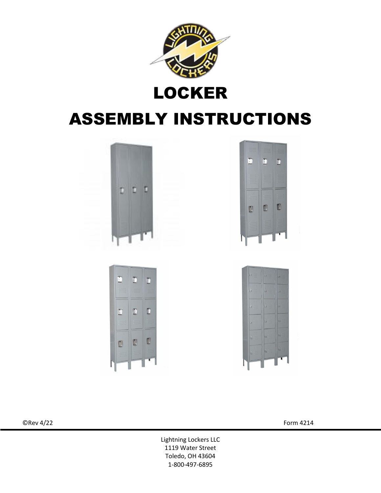

## LOCKER

# ASSEMBLY INSTRUCTIONS









 $\mathbb{O}$ Rev 4/22 Form 4214

Lightning Lockers LLC 1119 Water Street Toledo, OH 43604 1-800-497-6895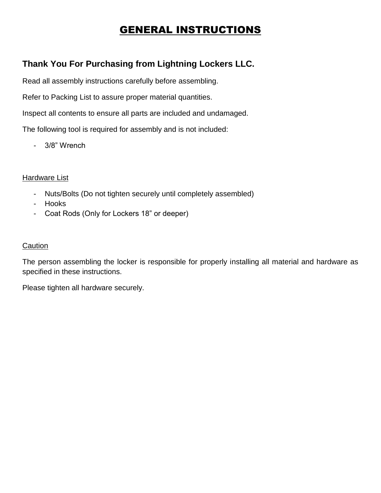## GENERAL INSTRUCTIONS

### **Thank You For Purchasing from Lightning Lockers LLC.**

Read all assembly instructions carefully before assembling.

Refer to Packing List to assure proper material quantities.

Inspect all contents to ensure all parts are included and undamaged.

The following tool is required for assembly and is not included:

- 3/8" Wrench

#### **Hardware List**

- Nuts/Bolts (Do not tighten securely until completely assembled)
- Hooks
- Coat Rods (Only for Lockers 18" or deeper)

#### **Caution**

The person assembling the locker is responsible for properly installing all material and hardware as specified in these instructions.

Please tighten all hardware securely.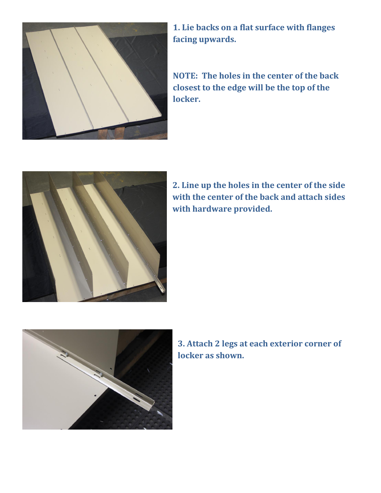

**1. Lie backs on a flat surface with flanges facing upwards.** 

**NOTE: The holes in the center of the back closest to the edge will be the top of the locker.**



**2. Line up the holes in the center of the side with the center of the back and attach sides with hardware provided.**



**3. Attach 2 legs at each exterior corner of locker as shown.**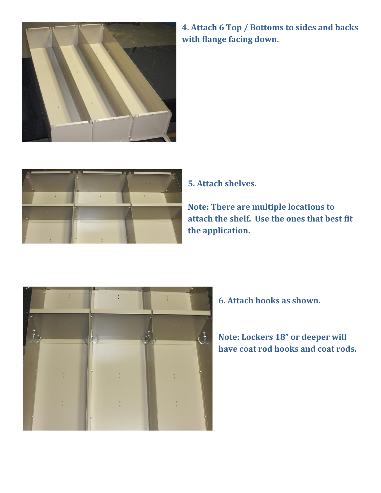

**4. Attach 6 Top / Bottoms to sides and backs with flange facing down.**



**5. Attach shelves.**

**Note: There are multiple locations to attach the shelf. Use the ones that best fit the application.**



**6. Attach hooks as shown.**

### **Note: Lockers 18" or deeper will have coat rod hooks and coat rods.**